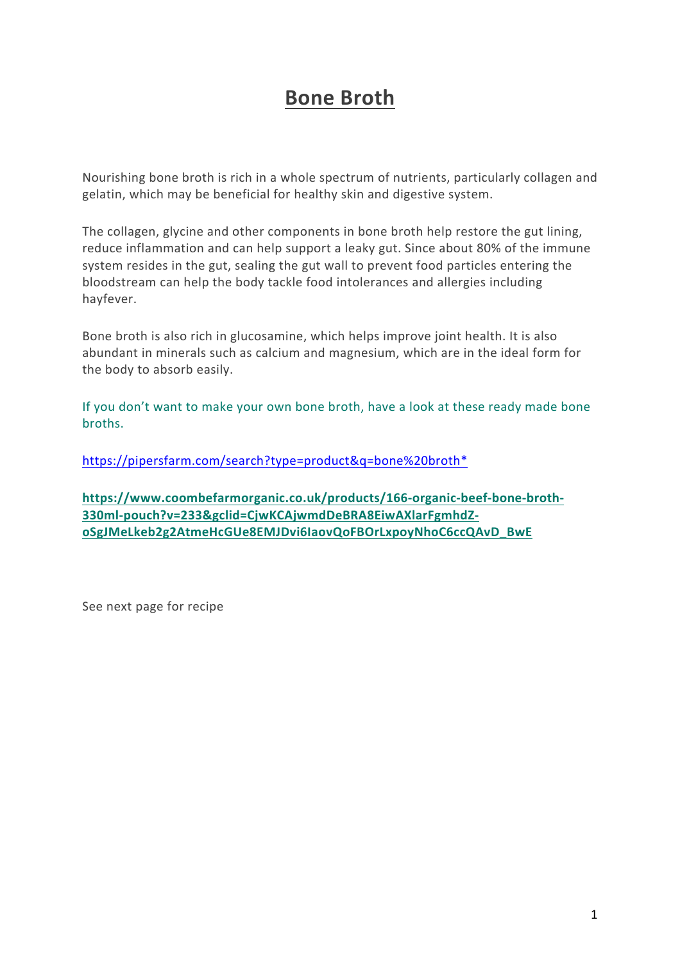## **Bone Broth**

Nourishing bone broth is rich in a whole spectrum of nutrients, particularly collagen and gelatin, which may be beneficial for healthy skin and digestive system.

The collagen, glycine and other components in bone broth help restore the gut lining, reduce inflammation and can help support a leaky gut. Since about 80% of the immune system resides in the gut, sealing the gut wall to prevent food particles entering the bloodstream can help the body tackle food intolerances and allergies including hayfever.

Bone broth is also rich in glucosamine, which helps improve joint health. It is also abundant in minerals such as calcium and magnesium, which are in the ideal form for the body to absorb easily.

If you don't want to make your own bone broth, have a look at these ready made bone broths. 

https://pipersfarm.com/search?type=product&q=bone%20broth\*

**https://www.coombefarmorganic.co.uk/products/166-organic-beef-bone-broth-330ml-pouch?v=233&gclid=CjwKCAjwmdDeBRA8EiwAXlarFgmhdZoSgJMeLkeb2g2AtmeHcGUe8EMJDvi6IaovQoFBOrLxpoyNhoC6ccQAvD\_BwE**

See next page for recipe